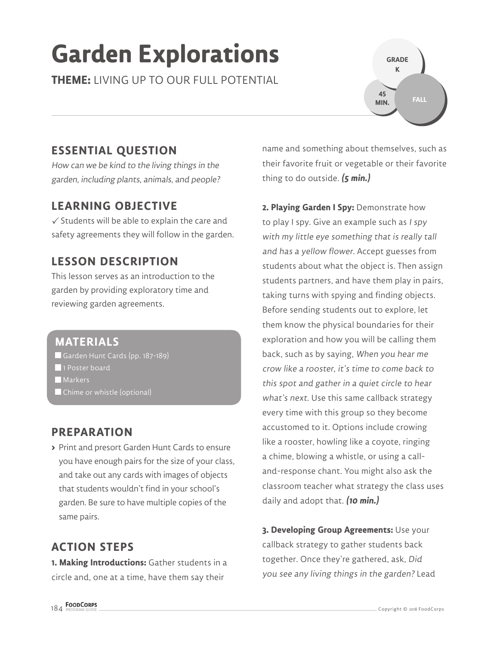# **Garden Explorations**

**THEME:** LIVING UP TO OUR FULL POTENTIAL

### **ESSENTIAL QUESTION**

How can we be kind to the living things in the garden, including plants, animals, and people?

#### **LEARNING OBJECTIVE**

 $\checkmark$  Students will be able to explain the care and safety agreements they will follow in the garden.

#### **LESSON DESCRIPTION**

This lesson serves as an introduction to the garden by providing exploratory time and reviewing garden agreements.

#### **MATERIALS**

Garden Hunt Cards (pp. 187-189)

- 1 Poster board
- **Markers**
- Chime or whistle (optional)

#### **PREPARATION**

**>** Print and presort Garden Hunt Cards to ensure you have enough pairs for the size of your class, and take out any cards with images of objects that students wouldn't find in your school's garden. Be sure to have multiple copies of the same pairs.

### **ACTION STEPS**

**1. Making Introductions:** Gather students in a circle and, one at a time, have them say their

name and something about themselves, such as their favorite fruit or vegetable or their favorite thing to do outside. **(5 min.)**

**GRADE K**

**45 MIN.**

**FALL**

**2. Playing Garden I Spy:** Demonstrate how to play I spy. Give an example such as I spy with my little eye something that is really tall and has a yellow flower. Accept guesses from students about what the object is. Then assign students partners, and have them play in pairs, taking turns with spying and finding objects. Before sending students out to explore, let them know the physical boundaries for their exploration and how you will be calling them back, such as by saying, When you hear me crow like a rooster, it's time to come back to this spot and gather in a quiet circle to hear what's next. Use this same callback strategy every time with this group so they become accustomed to it. Options include crowing like a rooster, howling like a coyote, ringing a chime, blowing a whistle, or using a calland-response chant. You might also ask the classroom teacher what strategy the class uses daily and adopt that. **(10 min.)**

**3. Developing Group Agreements:** Use your callback strategy to gather students back together. Once they're gathered, ask, Did you see any living things in the garden? Lead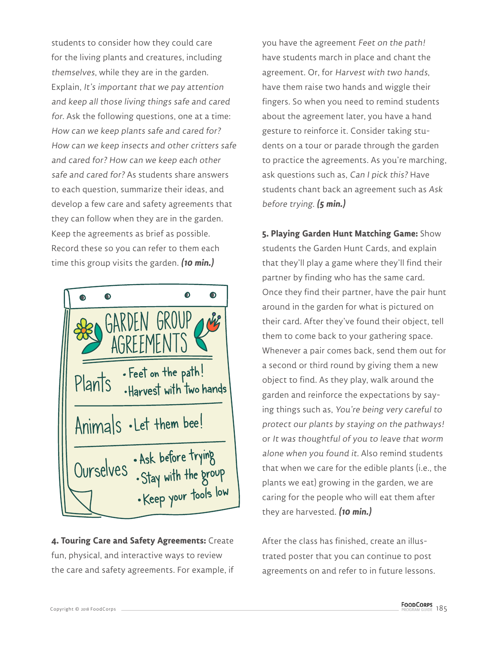students to consider how they could care for the living plants and creatures, including themselves, while they are in the garden. Explain, It's important that we pay attention and keep all those living things safe and cared for. Ask the following questions, one at a time: How can we keep plants safe and cared for? How can we keep insects and other critters safe and cared for? How can we keep each other safe and cared for? As students share answers to each question, summarize their ideas, and develop a few care and safety agreements that they can follow when they are in the garden. Keep the agreements as brief as possible. Record these so you can refer to them each time this group visits the garden. **(10 min.)**



**4. Touring Care and Safety Agreements:** Create fun, physical, and interactive ways to review the care and safety agreements. For example, if you have the agreement Feet on the path! have students march in place and chant the agreement. Or, for Harvest with two hands, have them raise two hands and wiggle their fingers. So when you need to remind students about the agreement later, you have a hand gesture to reinforce it. Consider taking students on a tour or parade through the garden to practice the agreements. As you're marching, ask questions such as, Can I pick this? Have students chant back an agreement such as Ask before trying. **(5 min.)**

**5. Playing Garden Hunt Matching Game:** Show students the Garden Hunt Cards, and explain that they'll play a game where they'll find their partner by finding who has the same card. Once they find their partner, have the pair hunt around in the garden for what is pictured on their card. After they've found their object, tell them to come back to your gathering space. Whenever a pair comes back, send them out for a second or third round by giving them a new object to find. As they play, walk around the garden and reinforce the expectations by saying things such as, You're being very careful to protect our plants by staying on the pathways! or It was thoughtful of you to leave that worm alone when you found it. Also remind students that when we care for the edible plants (i.e., the plants we eat) growing in the garden, we are caring for the people who will eat them after they are harvested. **(10 min.)**

After the class has finished, create an illustrated poster that you can continue to post agreements on and refer to in future lessons.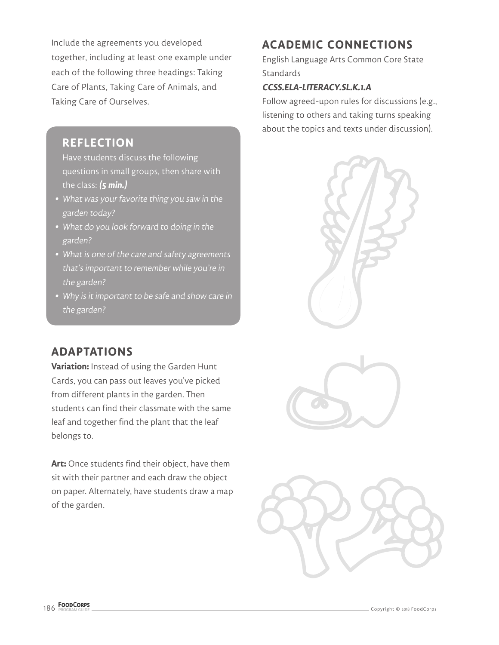Include the agreements you developed together, including at least one example under each of the following three headings: Taking Care of Plants, Taking Care of Animals, and Taking Care of Ourselves.

#### **REFLECTION**

Have students discuss the following questions in small groups, then share with the class: **(5 min.)**

- **•** What was your favorite thing you saw in the garden today?
- **•** What do you look forward to doing in the garden?
- **•** What is one of the care and safety agreements that's important to remember while you're in the garden?
- **•** Why is it important to be safe and show care in the garden?

### **ADAPTATIONS**

**Variation:** Instead of using the Garden Hunt Cards, you can pass out leaves you've picked from different plants in the garden. Then students can find their classmate with the same leaf and together find the plant that the leaf belongs to.

**Art:** Once students find their object, have them sit with their partner and each draw the object on paper. Alternately, have students draw a map of the garden.

## **ACADEMIC CONNECTIONS**

English Language Arts Common Core State **Standards** 

#### **CCSS.ELA-LITERACY.SL.K.1.A**

Follow agreed-upon rules for discussions (e.g., listening to others and taking turns speaking about the topics and texts under discussion).





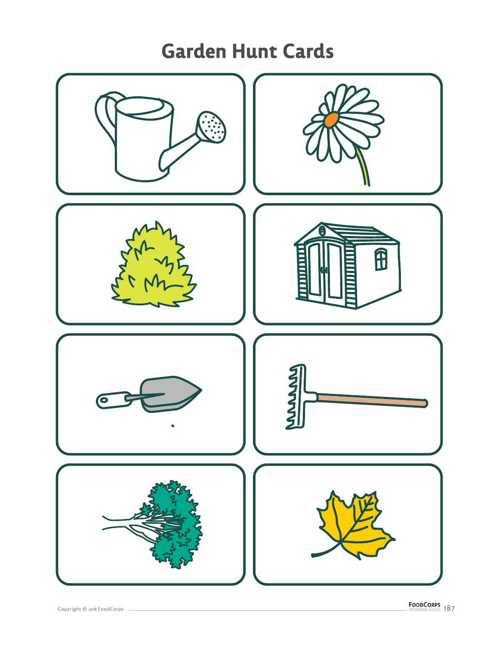# **Garden Hunt Cards**

![](_page_3_Picture_1.jpeg)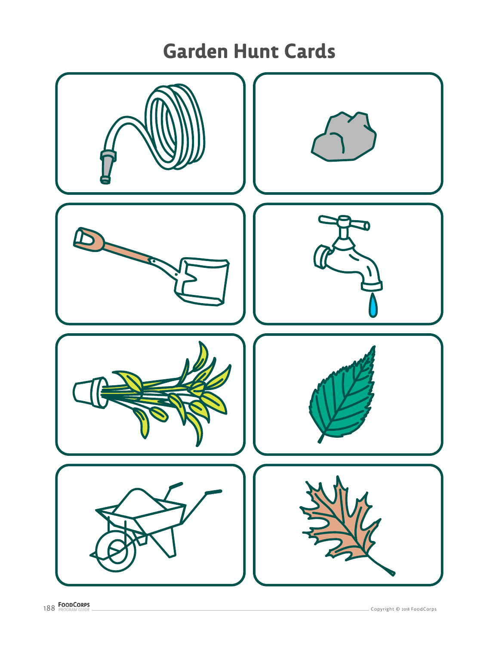# **Garden Hunt Cards**

![](_page_4_Picture_1.jpeg)